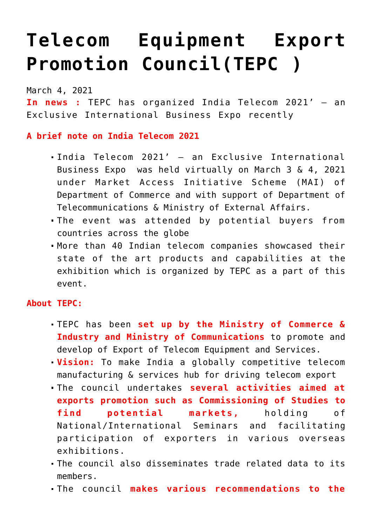## **[Telecom Equipment Export](https://journalsofindia.com/telecom-equipment-export-promotion-counciltepc/) [Promotion Council\(TEPC \)](https://journalsofindia.com/telecom-equipment-export-promotion-counciltepc/)**

March 4, 2021

**In news :** TEPC has organized India Telecom 2021' – an Exclusive International Business Expo recently

## **A brief note on India Telecom 2021**

- India Telecom 2021' an Exclusive International Business Expo was held virtually on March 3 & 4, 2021 under Market Access Initiative Scheme (MAI) of Department of Commerce and with support of Department of Telecommunications & Ministry of External Affairs.
- The event was attended by potential buyers from countries across the globe
- More than 40 Indian telecom companies showcased their state of the art products and capabilities at the exhibition which is organized by TEPC as a part of this event.

## **About TEPC:**

- TEPC has been **set up by the Ministry of Commerce & Industry and Ministry of Communications** to promote and develop of Export of Telecom Equipment and Services.
- **Vision:** To make India a globally competitive telecom manufacturing & services hub for driving telecom export
- The council undertakes **several activities aimed at exports promotion such as Commissioning of Studies to find potential markets,** holding of National/International Seminars and facilitating participation of exporters in various overseas exhibitions.
- The council also disseminates trade related data to its members.
- The council **makes various recommendations to the**